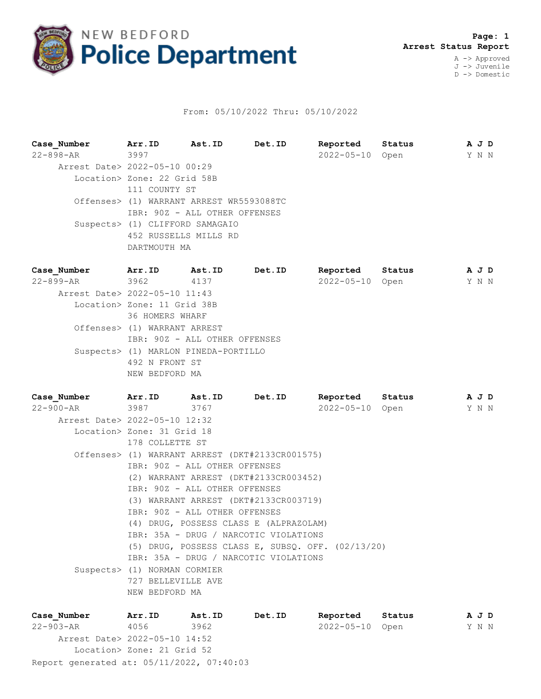

## From: 05/10/2022 Thru: 05/10/2022

**Case\_Number Arr.ID Ast.ID Det.ID Reported Status A J D** 22-898-AR 3997 2022-05-10 Open Y N N Arrest Date> 2022-05-10 00:29 Location> Zone: 22 Grid 58B 111 COUNTY ST Offenses> (1) WARRANT ARREST WR5593088TC IBR: 90Z - ALL OTHER OFFENSES Suspects> (1) CLIFFORD SAMAGAIO 452 RUSSELLS MILLS RD DARTMOUTH MA **Case\_Number Arr.ID Ast.ID Det.ID Reported Status A J D** 22-899-AR 3962 4137 2022-05-10 Open Y N N Arrest Date> 2022-05-10 11:43 Location> Zone: 11 Grid 38B 36 HOMERS WHARF Offenses> (1) WARRANT ARREST IBR: 90Z - ALL OTHER OFFENSES

 Suspects> (1) MARLON PINEDA-PORTILLO 492 N FRONT ST NEW BEDFORD MA

**Case\_Number Arr.ID Ast.ID Det.ID Reported Status A J D** 22-900-AR 3987 3767 2022-05-10 Open Y N N Arrest Date> 2022-05-10 12:32 Location> Zone: 31 Grid 18 178 COLLETTE ST Offenses> (1) WARRANT ARREST (DKT#2133CR001575) IBR: 90Z - ALL OTHER OFFENSES (2) WARRANT ARREST (DKT#2133CR003452) IBR: 90Z - ALL OTHER OFFENSES (3) WARRANT ARREST (DKT#2133CR003719) IBR: 90Z - ALL OTHER OFFENSES (4) DRUG, POSSESS CLASS E (ALPRAZOLAM) IBR: 35A - DRUG / NARCOTIC VIOLATIONS (5) DRUG, POSSESS CLASS E, SUBSQ. OFF. (02/13/20) IBR: 35A - DRUG / NARCOTIC VIOLATIONS Suspects> (1) NORMAN CORMIER 727 BELLEVILLE AVE NEW BEDFORD MA

Report generated at: 05/11/2022, 07:40:03 **Case\_Number Arr.ID Ast.ID Det.ID Reported Status A J D** 22-903-AR 4056 3962 2022-05-10 Open Y N N Arrest Date> 2022-05-10 14:52 Location> Zone: 21 Grid 52